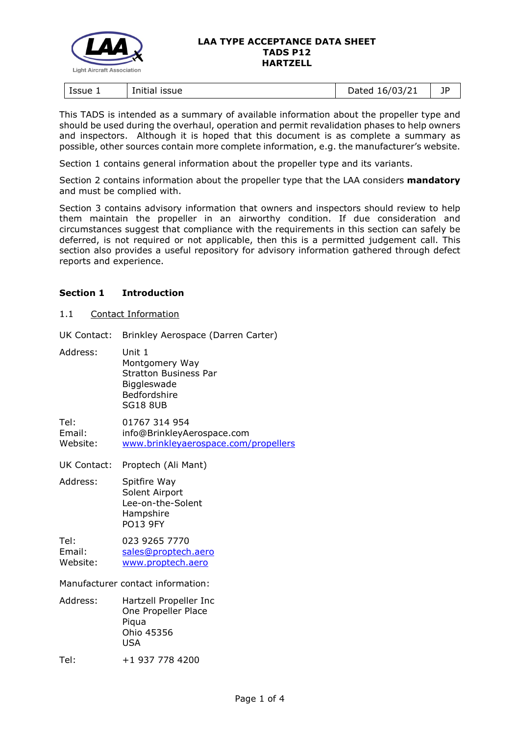

| Issue 1<br>issue<br>Initial | 16/03/21<br>)ated<br>pucco | ПD |
|-----------------------------|----------------------------|----|
|-----------------------------|----------------------------|----|

This TADS is intended as a summary of available information about the propeller type and should be used during the overhaul, operation and permit revalidation phases to help owners and inspectors. Although it is hoped that this document is as complete a summary as possible, other sources contain more complete information, e.g. the manufacturer's website.

Section 1 contains general information about the propeller type and its variants.

Section 2 contains information about the propeller type that the LAA considers **mandatory** and must be complied with.

Section 3 contains advisory information that owners and inspectors should review to help them maintain the propeller in an airworthy condition. If due consideration and circumstances suggest that compliance with the requirements in this section can safely be deferred, is not required or not applicable, then this is a permitted judgement call. This section also provides a useful repository for advisory information gathered through defect reports and experience.

## **Section 1 Introduction**

1.1 Contact Information

UK Contact: Brinkley Aerospace (Darren Carter)

| Address:                   | Unit 1<br>Montgomery Way<br><b>Stratton Business Par</b><br>Biggleswade<br>Bedfordshire<br><b>SG18 8UB</b> |
|----------------------------|------------------------------------------------------------------------------------------------------------|
| Tel:<br>Email:<br>Website: | 01767 314 954<br>info@BrinkleyAerospace.com<br>www.brinkleyaerospace.com/propellers                        |
| UK Contact:                | Proptech (Ali Mant)                                                                                        |
| Address:                   | Spitfire Way<br>Solent Airport<br>Lee-on-the-Solent<br>Hampshire<br><b>PO13 9FY</b>                        |
| Tel:<br>Email:<br>Website: | 023 9265 7770<br>sales@proptech.aero<br>www.proptech.aero                                                  |
|                            | Manufacturer contact information:                                                                          |
| Address:                   | Hartzell Propeller Inc<br>One Propeller Place                                                              |

USA Tel: +1 937 778 4200

Piqua Ohio 45356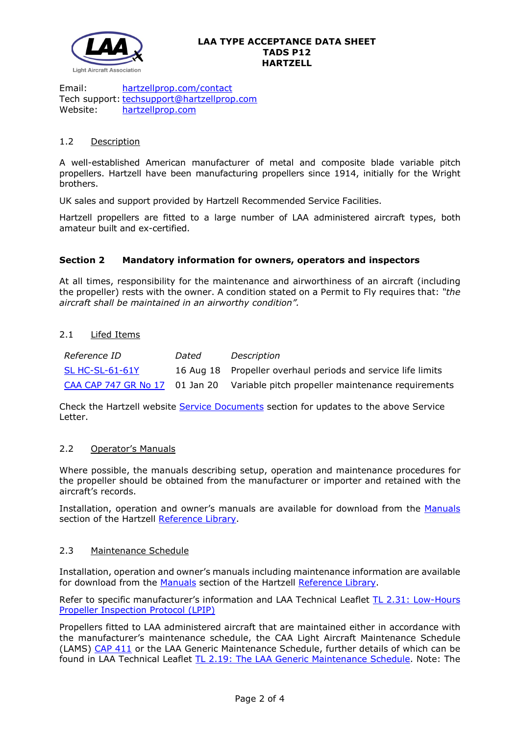

Email: [hartzellprop.com/contact](https://hartzellprop.com/contact/) Tech support: the tech support @hartzellprop.com [hartzellprop.com](https://hartzellprop.com/)

## 1.2 Description

A well-established American manufacturer of metal and composite blade variable pitch propellers. Hartzell have been manufacturing propellers since 1914, initially for the Wright brothers.

UK sales and support provided by Hartzell Recommended Service Facilities.

Hartzell propellers are fitted to a large number of LAA administered aircraft types, both amateur built and ex-certified.

# **Section 2 Mandatory information for owners, operators and inspectors**

At all times, responsibility for the maintenance and airworthiness of an aircraft (including the propeller) rests with the owner. A condition stated on a Permit to Fly requires that: *"the aircraft shall be maintained in an airworthy condition".* 

## 2.1 Lifed Items

| Reference ID      | Dated | Description                                                                      |
|-------------------|-------|----------------------------------------------------------------------------------|
| $SL$ HC-SL-61-61Y |       | 16 Aug 18 Propeller overhaul periods and service life limits                     |
|                   |       | CAA CAP 747 GR No 17 01 Jan 20 Variable pitch propeller maintenance requirements |

Check the Hartzell website [Service Documents](https://hartzellprop.com/services/product-support-library/service-documents/) section for updates to the above Service Letter.

## 2.2 Operator's Manuals

Where possible, the manuals describing setup, operation and maintenance procedures for the propeller should be obtained from the manufacturer or importer and retained with the aircraft's records.

Installation, operation and owner's manuals are available for download from the [Manuals](https://hartzellprop.com/services/product-support-library/manuals/hartzell-owners-manuals-english/) section of the Hartzell [Reference Library.](https://hartzellprop.com/services/product-support-library/)

## 2.3 Maintenance Schedule

Installation, operation and owner's manuals including maintenance information are available for download from the [Manuals](https://hartzellprop.com/services/product-support-library/manuals/hartzell-owners-manuals-english/) section of the Hartzell [Reference Library.](https://hartzellprop.com/services/product-support-library/)

Refer to specific manufacturer's information and LAA Technical Leaflet [TL 2.31: Low-Hours](http://www.lightaircraftassociation.co.uk/engineering/TechnicalLeaflets/Operating%20An%20Aircraft/TL%202.31%20LPIP.pdf)  [Propeller Inspection Protocol \(LPIP\)](http://www.lightaircraftassociation.co.uk/engineering/TechnicalLeaflets/Operating%20An%20Aircraft/TL%202.31%20LPIP.pdf)

Propellers fitted to LAA administered aircraft that are maintained either in accordance with the manufacturer's maintenance schedule, the CAA Light Aircraft Maintenance Schedule (LAMS) [CAP 411](http://www.caa.co.uk/CAP411) or the LAA Generic Maintenance Schedule, further details of which can be found in LAA Technical Leaflet [TL 2.19: The LAA Generic Maintenance Schedule.](http://www.lightaircraftassociation.co.uk/engineering/TechnicalLeaflets/Operating%20An%20Aircraft/TL%202.19%20The%20LAA%20Generic%20Maintenance%20Schedule.pdf) Note: The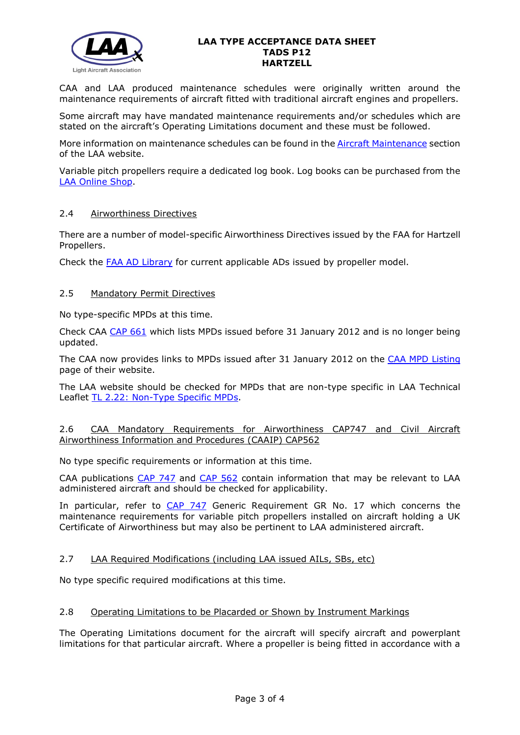

CAA and LAA produced maintenance schedules were originally written around the maintenance requirements of aircraft fitted with traditional aircraft engines and propellers.

Some aircraft may have mandated maintenance requirements and/or schedules which are stated on the aircraft's Operating Limitations document and these must be followed.

More information on maintenance schedules can be found in the [Aircraft Maintenance](http://www.lightaircraftassociation.co.uk/engineering/Maintenance/Aircraft_Maintenance.html) section of the LAA website.

Variable pitch propellers require a dedicated log book. Log books can be purchased from the [LAA Online Shop.](https://services.lightaircraftassociation.co.uk/catalog/265)

#### 2.4 Airworthiness Directives

There are a number of model-specific Airworthiness Directives issued by the FAA for Hartzell Propellers.

Check the **FAA AD Library** for current applicable ADs issued by propeller model.

## 2.5 Mandatory Permit Directives

No type-specific MPDs at this time.

Check CAA [CAP 661](http://www.caa.co.uk/cap661) which lists MPDs issued before 31 January 2012 and is no longer being updated.

The CAA now provides links to MPDs issued after 31 January 2012 on the [CAA MPD Listing](http://publicapps.caa.co.uk/modalapplication.aspx?appid=11&mode=list&type=sercat&id=55) page of their website.

The LAA website should be checked for MPDs that are non-type specific in LAA Technical Leaflet [TL 2.22: Non-Type Specific MPDs.](http://www.lightaircraftassociation.co.uk/engineering/TechnicalLeaflets/Operating%20An%20Aircraft/TL%202.22%20non-type%20specific%20MPDs.pdf)

## 2.6 CAA Mandatory Requirements for Airworthiness CAP747 and Civil Aircraft Airworthiness Information and Procedures (CAAIP) CAP562

No type specific requirements or information at this time.

CAA publications [CAP 747](http://www.caa.co.uk/CAP747) and [CAP 562](http://www.caa.co.uk/CAP562) contain information that may be relevant to LAA administered aircraft and should be checked for applicability.

In particular, refer to [CAP 747](http://www.caa.co.uk/CAP747) Generic Requirement GR No. 17 which concerns the maintenance requirements for variable pitch propellers installed on aircraft holding a UK Certificate of Airworthiness but may also be pertinent to LAA administered aircraft.

## 2.7 LAA Required Modifications (including LAA issued AILs, SBs, etc)

No type specific required modifications at this time.

#### 2.8 Operating Limitations to be Placarded or Shown by Instrument Markings

The Operating Limitations document for the aircraft will specify aircraft and powerplant limitations for that particular aircraft. Where a propeller is being fitted in accordance with a